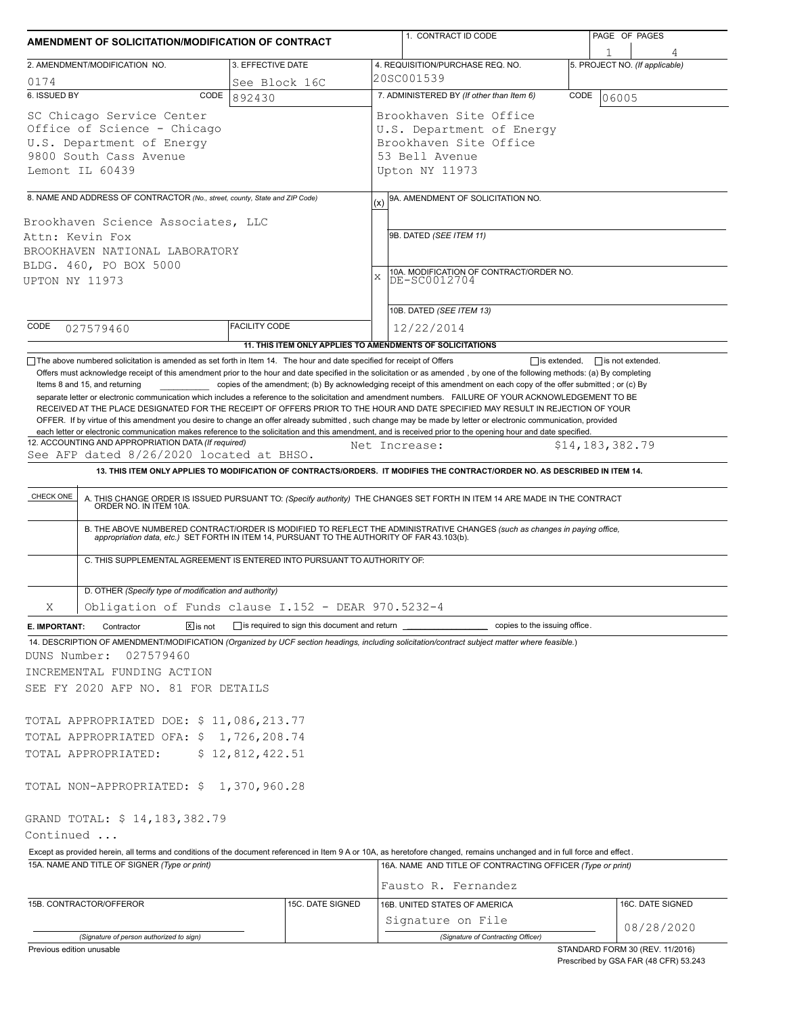| AMENDMENT OF SOLICITATION/MODIFICATION OF CONTRACT                                                                                                                                                                                                                                                           |                      | 1. CONTRACT ID CODE                                                                                                                                                                                                                                                                                                                                                                                                                                                                                                                                                                                                                                                                                                                                                                                                                                                                                                                                                                                                                                                                                                                                                                                                                                                                                                                                                                                                                                                  | PAGE OF PAGES                   |  |  |
|--------------------------------------------------------------------------------------------------------------------------------------------------------------------------------------------------------------------------------------------------------------------------------------------------------------|----------------------|----------------------------------------------------------------------------------------------------------------------------------------------------------------------------------------------------------------------------------------------------------------------------------------------------------------------------------------------------------------------------------------------------------------------------------------------------------------------------------------------------------------------------------------------------------------------------------------------------------------------------------------------------------------------------------------------------------------------------------------------------------------------------------------------------------------------------------------------------------------------------------------------------------------------------------------------------------------------------------------------------------------------------------------------------------------------------------------------------------------------------------------------------------------------------------------------------------------------------------------------------------------------------------------------------------------------------------------------------------------------------------------------------------------------------------------------------------------------|---------------------------------|--|--|
| 2. AMENDMENT/MODIFICATION NO.                                                                                                                                                                                                                                                                                | 3. EFFECTIVE DATE    | 4. REQUISITION/PURCHASE REQ. NO.                                                                                                                                                                                                                                                                                                                                                                                                                                                                                                                                                                                                                                                                                                                                                                                                                                                                                                                                                                                                                                                                                                                                                                                                                                                                                                                                                                                                                                     | 5. PROJECT NO. (If applicable)  |  |  |
| 0174                                                                                                                                                                                                                                                                                                         | See Block 16C        | 20SC001539                                                                                                                                                                                                                                                                                                                                                                                                                                                                                                                                                                                                                                                                                                                                                                                                                                                                                                                                                                                                                                                                                                                                                                                                                                                                                                                                                                                                                                                           |                                 |  |  |
| 6. ISSUED BY<br>CODE                                                                                                                                                                                                                                                                                         | 892430               | 7. ADMINISTERED BY (If other than Item 6)                                                                                                                                                                                                                                                                                                                                                                                                                                                                                                                                                                                                                                                                                                                                                                                                                                                                                                                                                                                                                                                                                                                                                                                                                                                                                                                                                                                                                            | CODE<br>06005                   |  |  |
| SC Chicago Service Center<br>Office of Science - Chicago<br>U.S. Department of Energy<br>9800 South Cass Avenue<br>Lemont IL 60439                                                                                                                                                                           |                      | Brookhaven Site Office<br>U.S. Department of Energy<br>Brookhaven Site Office<br>53 Bell Avenue<br>Upton NY 11973                                                                                                                                                                                                                                                                                                                                                                                                                                                                                                                                                                                                                                                                                                                                                                                                                                                                                                                                                                                                                                                                                                                                                                                                                                                                                                                                                    |                                 |  |  |
| 8. NAME AND ADDRESS OF CONTRACTOR (No., street, county, State and ZIP Code)                                                                                                                                                                                                                                  |                      |                                                                                                                                                                                                                                                                                                                                                                                                                                                                                                                                                                                                                                                                                                                                                                                                                                                                                                                                                                                                                                                                                                                                                                                                                                                                                                                                                                                                                                                                      |                                 |  |  |
| Brookhaven Science Associates, LLC<br>Attn: Kevin Fox<br>BROOKHAVEN NATIONAL LABORATORY<br>BLDG. 460, PO BOX 5000<br>UPTON NY 11973                                                                                                                                                                          |                      | 9A. AMENDMENT OF SOLICITATION NO.<br>(x)<br>9B. DATED (SEE ITEM 11)<br>10A. MODIFICATION OF CONTRACT/ORDER NO.<br>X<br>DE-SC0012704                                                                                                                                                                                                                                                                                                                                                                                                                                                                                                                                                                                                                                                                                                                                                                                                                                                                                                                                                                                                                                                                                                                                                                                                                                                                                                                                  |                                 |  |  |
|                                                                                                                                                                                                                                                                                                              |                      | 10B. DATED (SEE ITEM 13)                                                                                                                                                                                                                                                                                                                                                                                                                                                                                                                                                                                                                                                                                                                                                                                                                                                                                                                                                                                                                                                                                                                                                                                                                                                                                                                                                                                                                                             |                                 |  |  |
| CODE<br>027579460                                                                                                                                                                                                                                                                                            | <b>FACILITY CODE</b> | 12/22/2014<br>11. THIS ITEM ONLY APPLIES TO AMENDMENTS OF SOLICITATIONS                                                                                                                                                                                                                                                                                                                                                                                                                                                                                                                                                                                                                                                                                                                                                                                                                                                                                                                                                                                                                                                                                                                                                                                                                                                                                                                                                                                              |                                 |  |  |
| Items 8 and 15, and returning<br>12. ACCOUNTING AND APPROPRIATION DATA (If required)<br>See AFP dated 8/26/2020 located at BHSO.<br>CHECK ONE<br>C. THIS SUPPLEMENTAL AGREEMENT IS ENTERED INTO PURSUANT TO AUTHORITY OF:                                                                                    |                      | Offers must acknowledge receipt of this amendment prior to the hour and date specified in the solicitation or as amended, by one of the following methods: (a) By completing<br>copies of the amendment; (b) By acknowledging receipt of this amendment on each copy of the offer submitted; or (c) By<br>separate letter or electronic communication which includes a reference to the solicitation and amendment numbers. FAILURE OF YOUR ACKNOWLEDGEMENT TO BE<br>RECEIVED AT THE PLACE DESIGNATED FOR THE RECEIPT OF OFFERS PRIOR TO THE HOUR AND DATE SPECIFIED MAY RESULT IN REJECTION OF YOUR<br>OFFER. If by virtue of this amendment you desire to change an offer already submitted, such change may be made by letter or electronic communication, provided<br>each letter or electronic communication makes reference to the solicitation and this amendment, and is received prior to the opening hour and date specified.<br>Net Increase:<br>13. THIS ITEM ONLY APPLIES TO MODIFICATION OF CONTRACTS/ORDERS. IT MODIFIES THE CONTRACT/ORDER NO. AS DESCRIBED IN ITEM 14.<br>A. THIS CHANGE ORDER IS ISSUED PURSUANT TO: (Specify authority) THE CHANGES SET FORTH IN ITEM 14 ARE MADE IN THE CONTRACT ORDER NO. IN ITEM 10A.<br>B. THE ABOVE NUMBERED CONTRACT/ORDER IS MODIFIED TO REFLECT THE ADMINISTRATIVE CHANGES (such as changes in paying office, appropriation data, etc.) SET FORTH IN ITEM 14, PURSUANT TO THE AUTHORITY OF FAR 43.103(b). | \$14,183,382.79                 |  |  |
| D. OTHER (Specify type of modification and authority)                                                                                                                                                                                                                                                        |                      |                                                                                                                                                                                                                                                                                                                                                                                                                                                                                                                                                                                                                                                                                                                                                                                                                                                                                                                                                                                                                                                                                                                                                                                                                                                                                                                                                                                                                                                                      |                                 |  |  |
| Obligation of Funds clause I.152 - DEAR 970.5232-4<br>Χ                                                                                                                                                                                                                                                      |                      |                                                                                                                                                                                                                                                                                                                                                                                                                                                                                                                                                                                                                                                                                                                                                                                                                                                                                                                                                                                                                                                                                                                                                                                                                                                                                                                                                                                                                                                                      |                                 |  |  |
| $\boxed{\mathsf{x}}$ is not<br>Contractor<br>E. IMPORTANT:<br>14. DESCRIPTION OF AMENDMENT/MODIFICATION (Organized by UCF section headings, including solicitation/contract subject matter where feasible.)<br>DUNS Number:<br>027579460<br>INCREMENTAL FUNDING ACTION<br>SEE FY 2020 AFP NO. 81 FOR DETAILS |                      | is required to sign this document and return ___________________________ copies to the issuing office.                                                                                                                                                                                                                                                                                                                                                                                                                                                                                                                                                                                                                                                                                                                                                                                                                                                                                                                                                                                                                                                                                                                                                                                                                                                                                                                                                               |                                 |  |  |
| TOTAL APPROPRIATED DOE: \$ 11,086,213.77                                                                                                                                                                                                                                                                     |                      |                                                                                                                                                                                                                                                                                                                                                                                                                                                                                                                                                                                                                                                                                                                                                                                                                                                                                                                                                                                                                                                                                                                                                                                                                                                                                                                                                                                                                                                                      |                                 |  |  |
| TOTAL APPROPRIATED OFA: \$ 1,726,208.74<br>TOTAL APPROPRIATED:                                                                                                                                                                                                                                               | \$12,812,422.51      |                                                                                                                                                                                                                                                                                                                                                                                                                                                                                                                                                                                                                                                                                                                                                                                                                                                                                                                                                                                                                                                                                                                                                                                                                                                                                                                                                                                                                                                                      |                                 |  |  |
| TOTAL NON-APPROPRIATED: \$ 1,370,960.28                                                                                                                                                                                                                                                                      |                      |                                                                                                                                                                                                                                                                                                                                                                                                                                                                                                                                                                                                                                                                                                                                                                                                                                                                                                                                                                                                                                                                                                                                                                                                                                                                                                                                                                                                                                                                      |                                 |  |  |
| GRAND TOTAL: \$ 14,183,382.79<br>Continued                                                                                                                                                                                                                                                                   |                      |                                                                                                                                                                                                                                                                                                                                                                                                                                                                                                                                                                                                                                                                                                                                                                                                                                                                                                                                                                                                                                                                                                                                                                                                                                                                                                                                                                                                                                                                      |                                 |  |  |
| Except as provided herein, all terms and conditions of the document referenced in Item 9 A or 10A, as heretofore changed, remains unchanged and in full force and effect.<br>15A. NAME AND TITLE OF SIGNER (Type or print)                                                                                   |                      | 16A. NAME AND TITLE OF CONTRACTING OFFICER (Type or print)<br>Fausto R. Fernandez                                                                                                                                                                                                                                                                                                                                                                                                                                                                                                                                                                                                                                                                                                                                                                                                                                                                                                                                                                                                                                                                                                                                                                                                                                                                                                                                                                                    |                                 |  |  |
| 15B. CONTRACTOR/OFFEROR                                                                                                                                                                                                                                                                                      | 15C. DATE SIGNED     | 16B. UNITED STATES OF AMERICA<br>Signature on File                                                                                                                                                                                                                                                                                                                                                                                                                                                                                                                                                                                                                                                                                                                                                                                                                                                                                                                                                                                                                                                                                                                                                                                                                                                                                                                                                                                                                   | 16C. DATE SIGNED                |  |  |
| (Signature of person authorized to sign)                                                                                                                                                                                                                                                                     |                      | (Signature of Contracting Officer)                                                                                                                                                                                                                                                                                                                                                                                                                                                                                                                                                                                                                                                                                                                                                                                                                                                                                                                                                                                                                                                                                                                                                                                                                                                                                                                                                                                                                                   | 08/28/2020                      |  |  |
| Previous edition unusable                                                                                                                                                                                                                                                                                    |                      |                                                                                                                                                                                                                                                                                                                                                                                                                                                                                                                                                                                                                                                                                                                                                                                                                                                                                                                                                                                                                                                                                                                                                                                                                                                                                                                                                                                                                                                                      | STANDARD FORM 30 (REV. 11/2016) |  |  |

Prescribed by GSA FAR (48 CFR) 53.243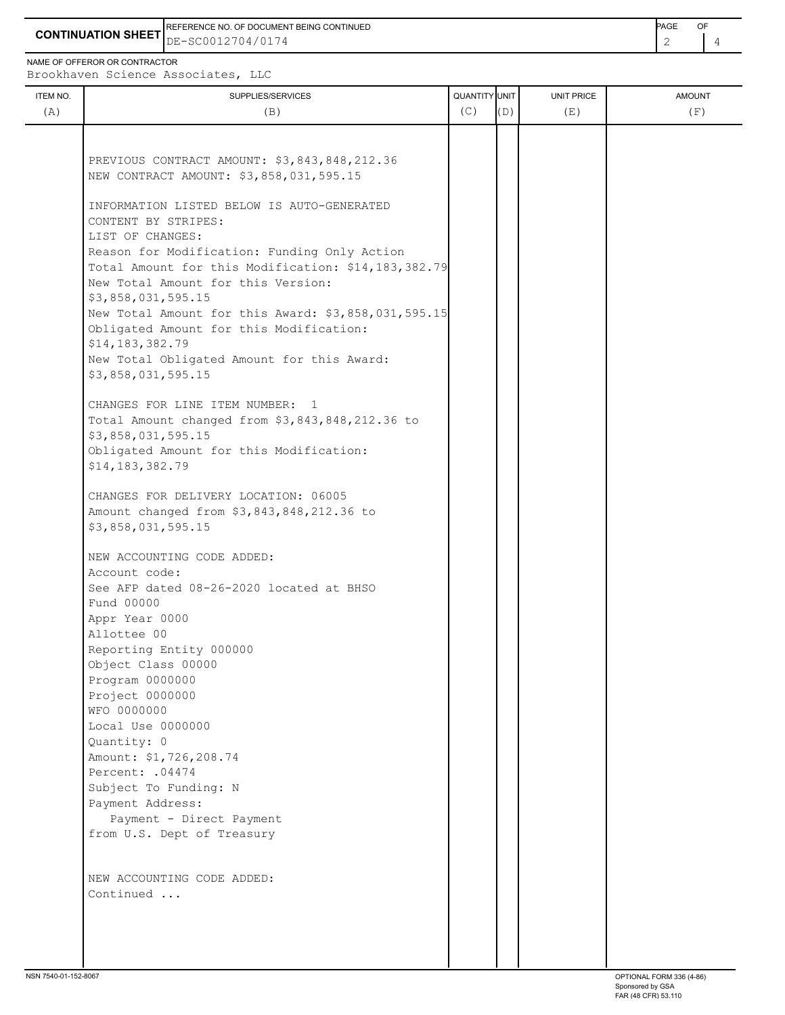**CONTINUATION SHEET** DE-SC0012704/0174 REFERENCE NO. OF DOCUMENT BEING CONTINUED **A CONTINUED PAGE OF PAGE OF PAGE OF PAGE** 

NAME OF OFFEROR OR CONTRACTOR

ITEM NO. ┃ SUPPLIES/SERVICES UNIT PRICE AMOUNT Brookhaven Science Associates, LLC (A)  $(B)$  (B)  $(C)$   $(D)$  (E)  $(E)$  (F) PREVIOUS CONTRACT AMOUNT: \$3,843,848,212.36 NEW CONTRACT AMOUNT: \$3,858,031,595.15 INFORMATION LISTED BELOW IS AUTO-GENERATED CONTENT BY STRIPES: LIST OF CHANGES: Reason for Modification: Funding Only Action Total Amount for this Modification: \$14,183,382.79 New Total Amount for this Version: \$3,858,031,595.15 New Total Amount for this Award: \$3,858,031,595.15 Obligated Amount for this Modification: \$14,183,382.79 New Total Obligated Amount for this Award: \$3,858,031,595.15 CHANGES FOR LINE ITEM NUMBER: 1 Total Amount changed from \$3,843,848,212.36 to \$3,858,031,595.15 Obligated Amount for this Modification: \$14,183,382.79 CHANGES FOR DELIVERY LOCATION: 06005 Amount changed from \$3,843,848,212.36 to \$3,858,031,595.15 NEW ACCOUNTING CODE ADDED: Account code: See AFP dated 08-26-2020 located at BHSO Fund 00000 Appr Year 0000 Allottee 00 Reporting Entity 000000 Object Class 00000 Program 0000000 Project 0000000 WFO 0000000 Local Use 0000000 Quantity: 0 Amount: \$1,726,208.74 Percent: .04474 Subject To Funding: N Payment Address: Payment - Direct Payment from U.S. Dept of Treasury NEW ACCOUNTING CODE ADDED:

Continued ...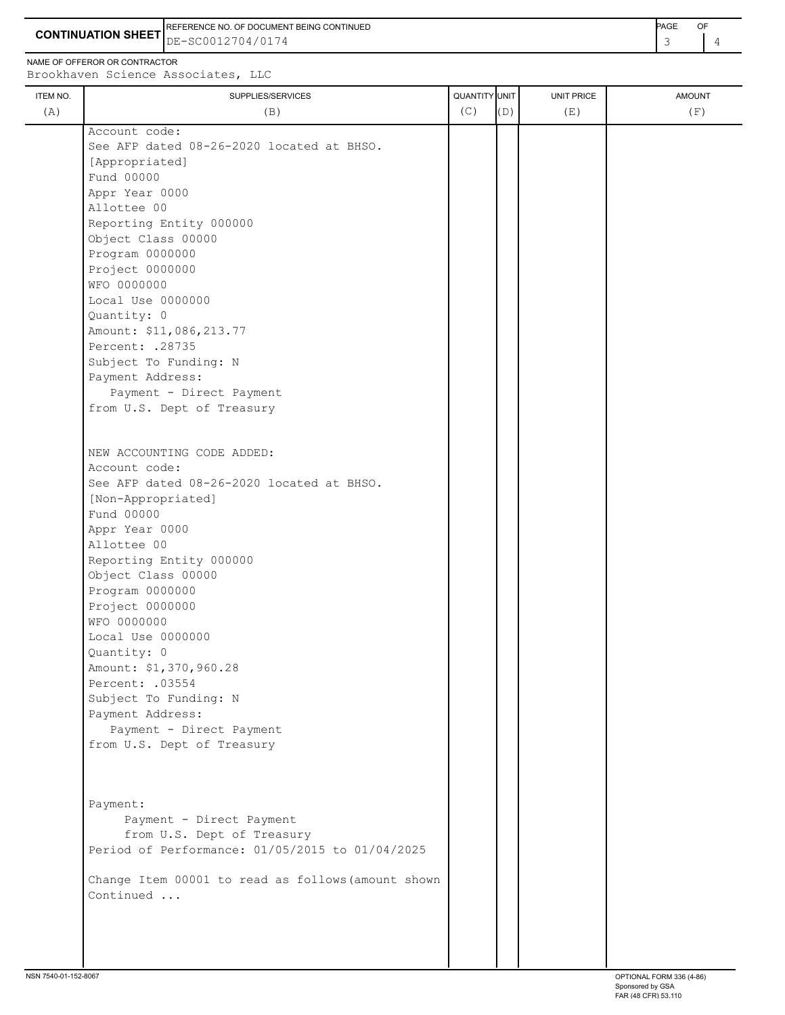**CONTINUATION SHEET** DE-SC0012704/0174 REFERENCE NO. OF DOCUMENT BEING CONTINUED **Example 2008** PAGE OF

NAME OF OFFEROR OR CONTRACTOR

Brookhaven Science Associates, LLC

| ITEM NO. | SUPPLIES/SERVICES                                  | QUANTITY UNIT |     | UNIT PRICE | <b>AMOUNT</b> |
|----------|----------------------------------------------------|---------------|-----|------------|---------------|
| (A)      | (B)                                                | (C)           | (D) | (E)        | (F)           |
|          | Account code:                                      |               |     |            |               |
|          | See AFP dated 08-26-2020 located at BHSO.          |               |     |            |               |
|          | [Appropriated]                                     |               |     |            |               |
|          | Fund 00000                                         |               |     |            |               |
|          | Appr Year 0000                                     |               |     |            |               |
|          | Allottee 00                                        |               |     |            |               |
|          | Reporting Entity 000000                            |               |     |            |               |
|          | Object Class 00000                                 |               |     |            |               |
|          | Program 0000000                                    |               |     |            |               |
|          | Project 0000000                                    |               |     |            |               |
|          | WFO 0000000                                        |               |     |            |               |
|          | Local Use 0000000                                  |               |     |            |               |
|          | Quantity: 0                                        |               |     |            |               |
|          | Amount: \$11,086,213.77                            |               |     |            |               |
|          | Percent: . 28735                                   |               |     |            |               |
|          | Subject To Funding: N                              |               |     |            |               |
|          | Payment Address:                                   |               |     |            |               |
|          | Payment - Direct Payment                           |               |     |            |               |
|          | from U.S. Dept of Treasury                         |               |     |            |               |
|          |                                                    |               |     |            |               |
|          | NEW ACCOUNTING CODE ADDED:                         |               |     |            |               |
|          | Account code:                                      |               |     |            |               |
|          | See AFP dated 08-26-2020 located at BHSO.          |               |     |            |               |
|          | [Non-Appropriated]                                 |               |     |            |               |
|          | Fund 00000                                         |               |     |            |               |
|          | Appr Year 0000                                     |               |     |            |               |
|          | Allottee 00                                        |               |     |            |               |
|          | Reporting Entity 000000                            |               |     |            |               |
|          | Object Class 00000                                 |               |     |            |               |
|          | Program 0000000                                    |               |     |            |               |
|          | Project 0000000                                    |               |     |            |               |
|          | WFO 0000000                                        |               |     |            |               |
|          | Local Use 0000000                                  |               |     |            |               |
|          | Quantity: 0                                        |               |     |            |               |
|          | Amount: \$1,370,960.28                             |               |     |            |               |
|          | Percent: . 03554                                   |               |     |            |               |
|          | Subject To Funding: N                              |               |     |            |               |
|          | Payment Address:                                   |               |     |            |               |
|          | Payment - Direct Payment                           |               |     |            |               |
|          | from U.S. Dept of Treasury                         |               |     |            |               |
|          |                                                    |               |     |            |               |
|          |                                                    |               |     |            |               |
|          | Payment:                                           |               |     |            |               |
|          | Payment - Direct Payment                           |               |     |            |               |
|          | from U.S. Dept of Treasury                         |               |     |            |               |
|          | Period of Performance: 01/05/2015 to 01/04/2025    |               |     |            |               |
|          |                                                    |               |     |            |               |
|          | Change Item 00001 to read as follows (amount shown |               |     |            |               |
|          | Continued                                          |               |     |            |               |
|          |                                                    |               |     |            |               |
|          |                                                    |               |     |            |               |
|          |                                                    |               |     |            |               |
|          |                                                    |               |     |            |               |